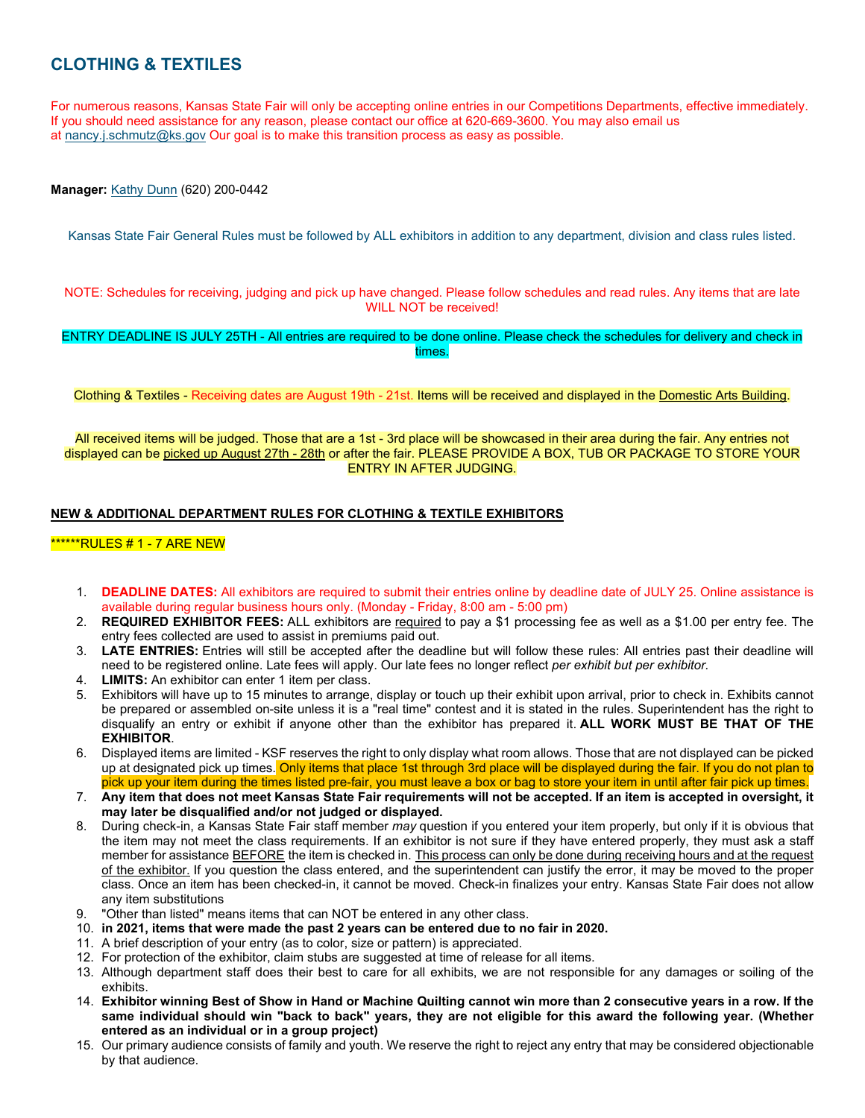# **CLOTHING & TEXTILES**

For numerous reasons, Kansas State Fair will only be accepting online entries in our Competitions Departments, effective immediately. If you should need assistance for any reason, please contact our office at 620-669-3600. You may also email us at [nancy.j.schmutz@ks.gov](mailto:nancy.j.schmutz@ks.gov) Our goal is to make this transition process as easy as possible.

**Manager:** [Kathy Dunn](mailto:all4dunn@hotmail.com) (620) 200-0442

Kansas State Fair General Rules must be followed by ALL exhibitors in addition to any department, division and class rules listed.

NOTE: Schedules for receiving, judging and pick up have changed. Please follow schedules and read rules. Any items that are late WILL NOT be received!

ENTRY DEADLINE IS JULY 25TH - All entries are required to be done online. Please check the schedules for delivery and check in times.

Clothing & Textiles - Receiving dates are August 19th - 21st. Items will be received and displayed in the Domestic Arts Building.

All received items will be judged. Those that are a 1st - 3rd place will be showcased in their area during the fair. Any entries not displayed can be picked up August 27th - 28th or after the fair. PLEASE PROVIDE A BOX, TUB OR PACKAGE TO STORE YOUR ENTRY IN AFTER JUDGING.

### **NEW & ADDITIONAL DEPARTMENT RULES FOR CLOTHING & TEXTILE EXHIBITORS**

## \*\*\*\*\*\*RULES # 1 - 7 ARE NEW

- 1. **DEADLINE DATES:** All exhibitors are required to submit their entries online by deadline date of JULY 25. Online assistance is available during regular business hours only. (Monday - Friday, 8:00 am - 5:00 pm)
- 2. **REQUIRED EXHIBITOR FEES:** ALL exhibitors are required to pay a \$1 processing fee as well as a \$1.00 per entry fee. The entry fees collected are used to assist in premiums paid out.
- 3. **LATE ENTRIES:** Entries will still be accepted after the deadline but will follow these rules: All entries past their deadline will need to be registered online. Late fees will apply. Our late fees no longer reflect *per exhibit but per exhibitor.*
- 4. **LIMITS:** An exhibitor can enter 1 item per class.
- 5. Exhibitors will have up to 15 minutes to arrange, display or touch up their exhibit upon arrival, prior to check in. Exhibits cannot be prepared or assembled on-site unless it is a "real time" contest and it is stated in the rules. Superintendent has the right to disqualify an entry or exhibit if anyone other than the exhibitor has prepared it. **ALL WORK MUST BE THAT OF THE EXHIBITOR**.
- 6. Displayed items are limited KSF reserves the right to only display what room allows. Those that are not displayed can be picked up at designated pick up times. Only items that place 1st through 3rd place will be displayed during the fair. If you do not plan to pick up your item during the times listed pre-fair, you must leave a box or bag to store your item in until after fair pick up times.
- 7. **Any item that does not meet Kansas State Fair requirements will not be accepted. If an item is accepted in oversight, it may later be disqualified and/or not judged or displayed.**
- 8. During check-in, a Kansas State Fair staff member *may* question if you entered your item properly, but only if it is obvious that the item may not meet the class requirements. If an exhibitor is not sure if they have entered properly, they must ask a staff member for assistance **BEFORE** the item is checked in. This process can only be done during receiving hours and at the request of the exhibitor. If you question the class entered, and the superintendent can justify the error, it may be moved to the proper class. Once an item has been checked-in, it cannot be moved. Check-in finalizes your entry. Kansas State Fair does not allow any item substitutions
- "Other than listed" means items that can NOT be entered in any other class.
- 10. **in 2021, items that were made the past 2 years can be entered due to no fair in 2020.**
- 11. A brief description of your entry (as to color, size or pattern) is appreciated.
- 12. For protection of the exhibitor, claim stubs are suggested at time of release for all items.
- 13. Although department staff does their best to care for all exhibits, we are not responsible for any damages or soiling of the exhibits.
- 14. **Exhibitor winning Best of Show in Hand or Machine Quilting cannot win more than 2 consecutive years in a row. If the same individual should win "back to back" years, they are not eligible for this award the following year. (Whether entered as an individual or in a group project)**
- 15. Our primary audience consists of family and youth. We reserve the right to reject any entry that may be considered objectionable by that audience.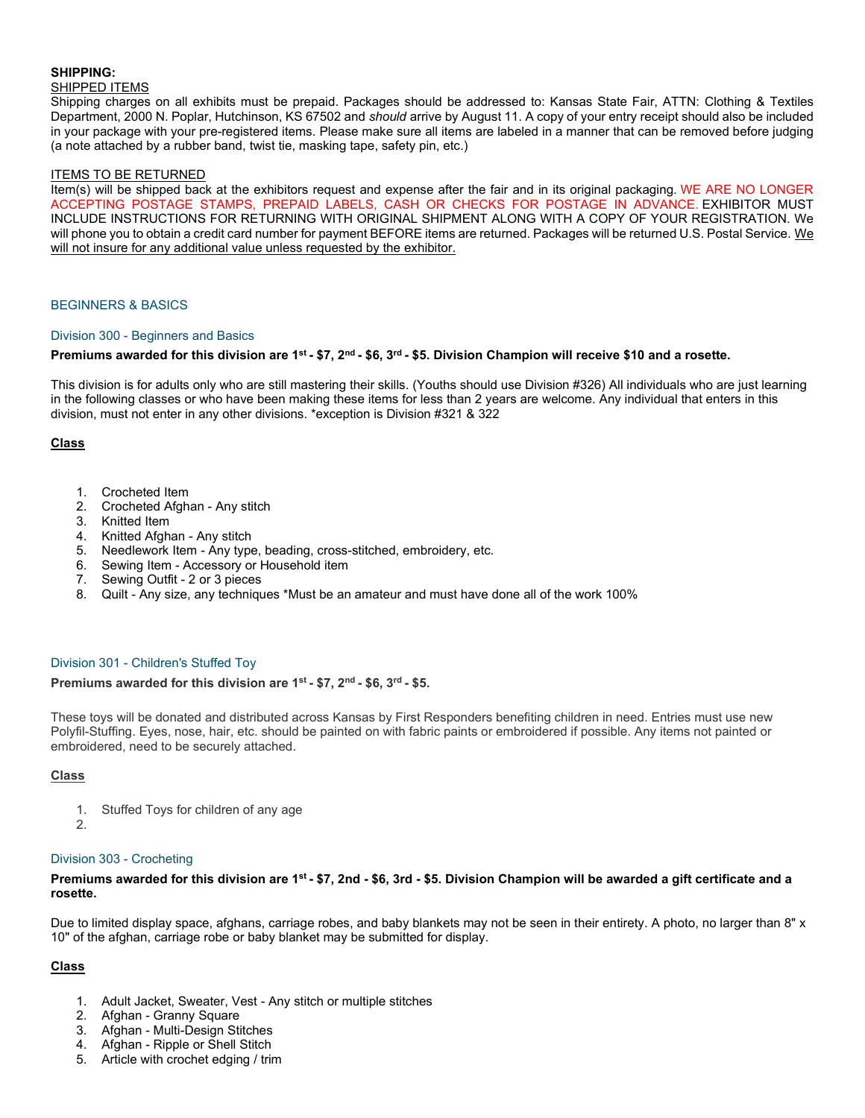# **SHIPPING:**

### SHIPPED ITEMS

Shipping charges on all exhibits must be prepaid. Packages should be addressed to: Kansas State Fair, ATTN: Clothing & Textiles Department, 2000 N. Poplar, Hutchinson, KS 67502 and *should* arrive by August 11. A copy of your entry receipt should also be included in your package with your pre-registered items. Please make sure all items are labeled in a manner that can be removed before judging (a note attached by a rubber band, twist tie, masking tape, safety pin, etc.)

## ITEMS TO BE RETURNED

Item(s) will be shipped back at the exhibitors request and expense after the fair and in its original packaging. WE ARE NO LONGER ACCEPTING POSTAGE STAMPS, PREPAID LABELS, CASH OR CHECKS FOR POSTAGE IN ADVANCE. EXHIBITOR MUST INCLUDE INSTRUCTIONS FOR RETURNING WITH ORIGINAL SHIPMENT ALONG WITH A COPY OF YOUR REGISTRATION. We will phone you to obtain a credit card number for payment BEFORE items are returned. Packages will be returned U.S. Postal Service. We will not insure for any additional value unless requested by the exhibitor.

### BEGINNERS & BASICS

### Division 300 - Beginners and Basics

## **Premiums awarded for this division are 1st - \$7, 2nd - \$6, 3rd - \$5. Division Champion will receive \$10 and a rosette.**

This division is for adults only who are still mastering their skills. (Youths should use Division #326) All individuals who are just learning in the following classes or who have been making these items for less than 2 years are welcome. Any individual that enters in this division, must not enter in any other divisions. \*exception is Division #321 & 322

### **Class**

- 1. Crocheted Item
- 2. Crocheted Afghan Any stitch
- 3. Knitted Item
- 4. Knitted Afghan Any stitch
- 5. Needlework Item Any type, beading, cross-stitched, embroidery, etc.
- 6. Sewing Item Accessory or Household item<br>7. Sewing Outfit 2 or 3 pieces
- Sewing Outfit 2 or 3 pieces
- 8. Quilt Any size, any techniques \*Must be an amateur and must have done all of the work 100%

#### Division 301 - Children's Stuffed Toy

#### **Premiums awarded for this division are 1st - \$7, 2nd - \$6, 3rd - \$5.**

These toys will be donated and distributed across Kansas by First Responders benefiting children in need. Entries must use new Polyfil-Stuffing. Eyes, nose, hair, etc. should be painted on with fabric paints or embroidered if possible. Any items not painted or embroidered, need to be securely attached.

#### **Class**

- 1. Stuffed Toys for children of any age
- 2.

#### Division 303 - Crocheting

## **Premiums awarded for this division are 1st - \$7, 2nd - \$6, 3rd - \$5. Division Champion will be awarded a gift certificate and a rosette.**

Due to limited display space, afghans, carriage robes, and baby blankets may not be seen in their entirety. A photo, no larger than 8" x 10" of the afghan, carriage robe or baby blanket may be submitted for display.

- 1. Adult Jacket, Sweater, Vest Any stitch or multiple stitches
- 2. Afghan Granny Square
- 3. Afghan Multi-Design Stitches
- 4. Afghan Ripple or Shell Stitch
- 5. Article with crochet edging / trim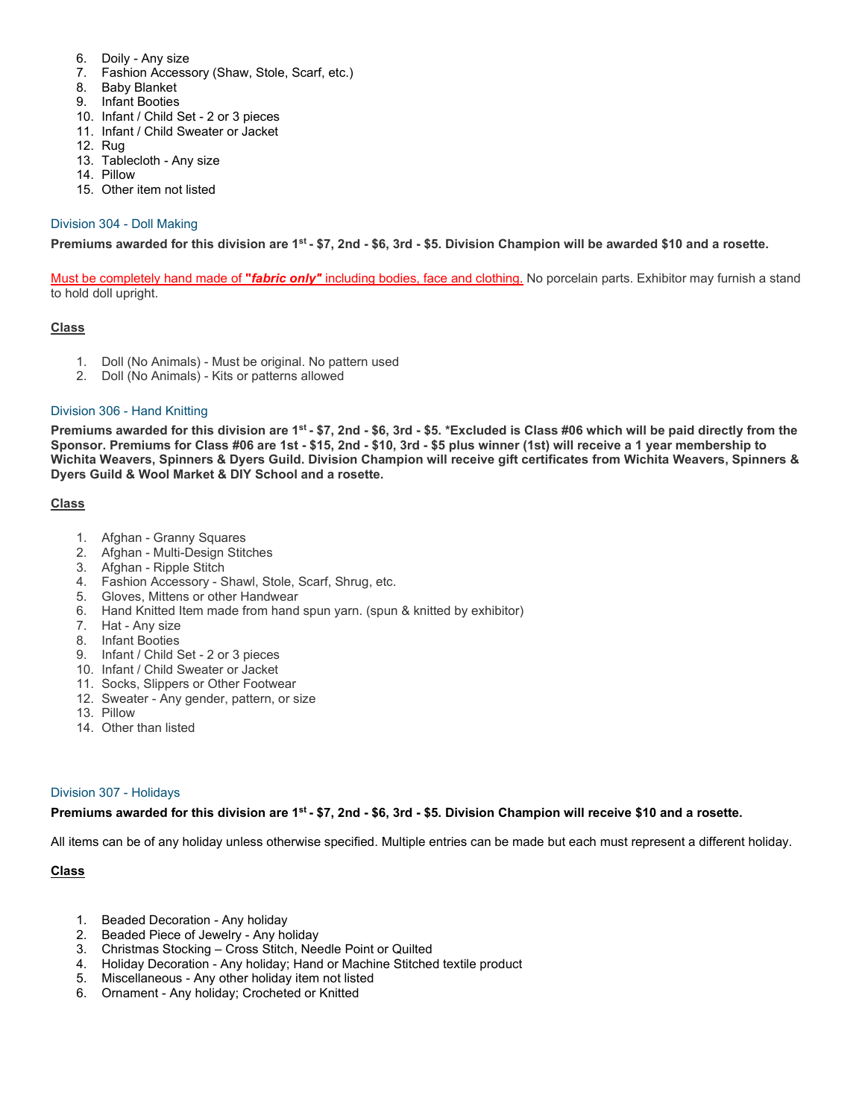- 6. Doily Any size
- 7. Fashion Accessory (Shaw, Stole, Scarf, etc.)
- 8. Baby Blanket
- 9. Infant Booties
- 10. Infant / Child Set 2 or 3 pieces
- 11. Infant / Child Sweater or Jacket
- 12. Rug
- 13. Tablecloth Any size
- 14. Pillow
- 15. Other item not listed

# Division 304 - Doll Making

**Premiums awarded for this division are 1st - \$7, 2nd - \$6, 3rd - \$5. Division Champion will be awarded \$10 and a rosette.**

Must be completely hand made of **"***fabric only"* including bodies, face and clothing. No porcelain parts. Exhibitor may furnish a stand to hold doll upright.

## **Class**

- 1. Doll (No Animals) Must be original. No pattern used
- 2. Doll (No Animals) Kits or patterns allowed

### Division 306 - Hand Knitting

**Premiums awarded for this division are 1st - \$7, 2nd - \$6, 3rd - \$5. \*Excluded is Class #06 which will be paid directly from the Sponsor. Premiums for Class #06 are 1st - \$15, 2nd - \$10, 3rd - \$5 plus winner (1st) will receive a 1 year membership to Wichita Weavers, Spinners & Dyers Guild. Division Champion will receive gift certificates from Wichita Weavers, Spinners & Dyers Guild & Wool Market & DIY School and a rosette.**

## **Class**

- 1. Afghan Granny Squares
- 2. Afghan Multi-Design Stitches
- 3. Afghan Ripple Stitch
- 4. Fashion Accessory Shawl, Stole, Scarf, Shrug, etc.
- 5. Gloves, Mittens or other Handwear
- 6. Hand Knitted Item made from hand spun yarn. (spun & knitted by exhibitor)
- 7. Hat Any size
- 8. Infant Booties
- 9. Infant / Child Set 2 or 3 pieces
- 10. Infant / Child Sweater or Jacket
- 11. Socks, Slippers or Other Footwear
- 12. Sweater Any gender, pattern, or size
- 13. Pillow
- 14. Other than listed

#### Division 307 - Holidays

#### **Premiums awarded for this division are 1st - \$7, 2nd - \$6, 3rd - \$5. Division Champion will receive \$10 and a rosette.**

All items can be of any holiday unless otherwise specified. Multiple entries can be made but each must represent a different holiday.

- 1. Beaded Decoration Any holiday
- 2. Beaded Piece of Jewelry Any holiday
- 3. Christmas Stocking Cross Stitch, Needle Point or Quilted
- 4. Holiday Decoration Any holiday; Hand or Machine Stitched textile product
- 5. Miscellaneous Any other holiday item not listed
- 6. Ornament Any holiday; Crocheted or Knitted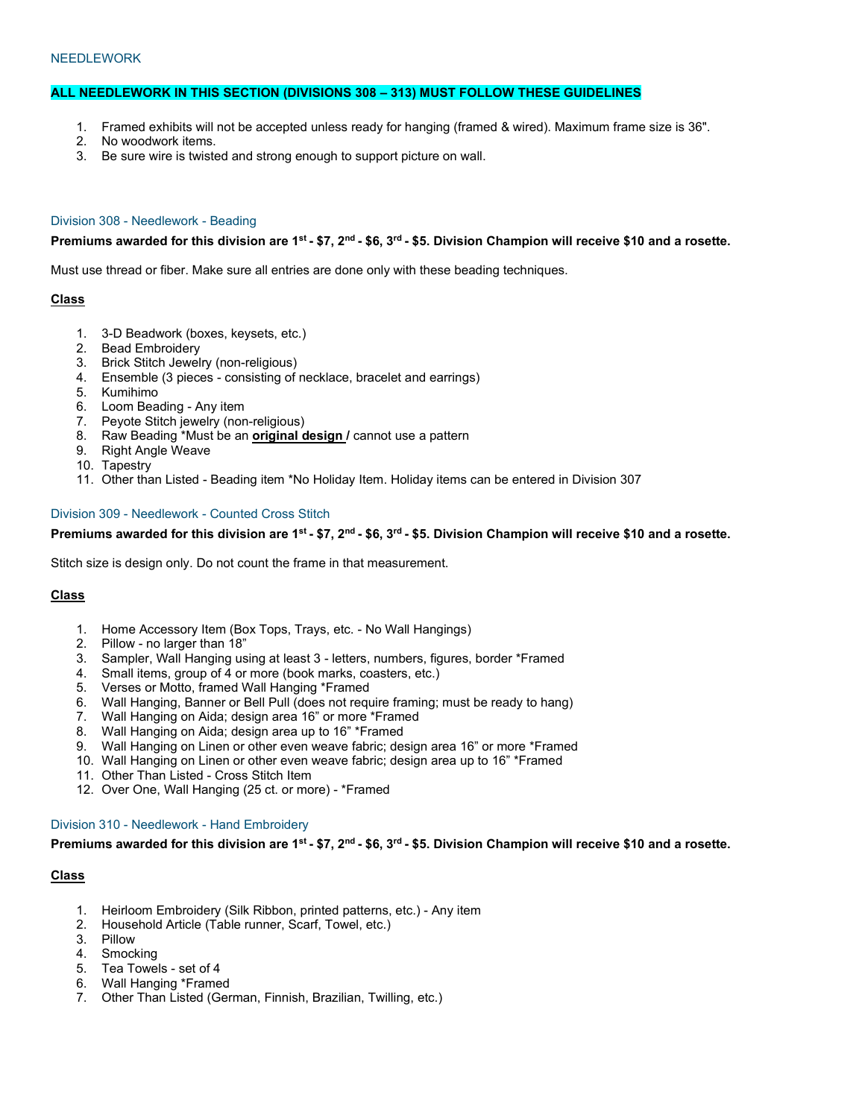#### **NEEDLEWORK**

# **ALL NEEDLEWORK IN THIS SECTION (DIVISIONS 308 – 313) MUST FOLLOW THESE GUIDELINES**

- 1. Framed exhibits will not be accepted unless ready for hanging (framed & wired). Maximum frame size is 36".
- 2. No woodwork items.
- 3. Be sure wire is twisted and strong enough to support picture on wall.

### Division 308 - Needlework - Beading

## **Premiums awarded for this division are 1st - \$7, 2nd - \$6, 3rd - \$5. Division Champion will receive \$10 and a rosette.**

Must use thread or fiber. Make sure all entries are done only with these beading techniques.

## **Class**

- 1. 3-D Beadwork (boxes, keysets, etc.)
- 2. Bead Embroidery
- 3. Brick Stitch Jewelry (non-religious)
- 4. Ensemble (3 pieces consisting of necklace, bracelet and earrings)
- 5. Kumihimo
- 6. Loom Beading Any item
- 7. Peyote Stitch jewelry (non-religious)
- 8. Raw Beading \*Must be an **original design /** cannot use a pattern
- 9. Right Angle Weave
- 10. Tapestry
- 11. Other than Listed Beading item \*No Holiday Item. Holiday items can be entered in Division 307

#### Division 309 - Needlework - Counted Cross Stitch

## **Premiums awarded for this division are 1st - \$7, 2nd - \$6, 3rd - \$5. Division Champion will receive \$10 and a rosette.**

Stitch size is design only. Do not count the frame in that measurement.

## **Class**

- 1. Home Accessory Item (Box Tops, Trays, etc. No Wall Hangings)
- 2. Pillow no larger than 18"
- 3. Sampler, Wall Hanging using at least 3 letters, numbers, figures, border \*Framed
- 4. Small items, group of 4 or more (book marks, coasters, etc.)
- 5. Verses or Motto, framed Wall Hanging \*Framed
- 6. Wall Hanging, Banner or Bell Pull (does not require framing; must be ready to hang)
- 7. Wall Hanging on Aida; design area 16" or more \*Framed
- 8. Wall Hanging on Aida; design area up to 16" \*Framed
- 9. Wall Hanging on Linen or other even weave fabric; design area 16" or more \*Framed
- 10. Wall Hanging on Linen or other even weave fabric; design area up to 16" \*Framed
- 11. Other Than Listed Cross Stitch Item
- 12. Over One, Wall Hanging (25 ct. or more) \*Framed

#### Division 310 - Needlework - Hand Embroidery

**Premiums awarded for this division are 1st - \$7, 2nd - \$6, 3rd - \$5. Division Champion will receive \$10 and a rosette.**

- 1. Heirloom Embroidery (Silk Ribbon, printed patterns, etc.) Any item
- 2. Household Article (Table runner, Scarf, Towel, etc.)
- 3. Pillow
- 4. Smocking
- 5. Tea Towels set of 4
- 6. Wall Hanging \*Framed
- 7. Other Than Listed (German, Finnish, Brazilian, Twilling, etc.)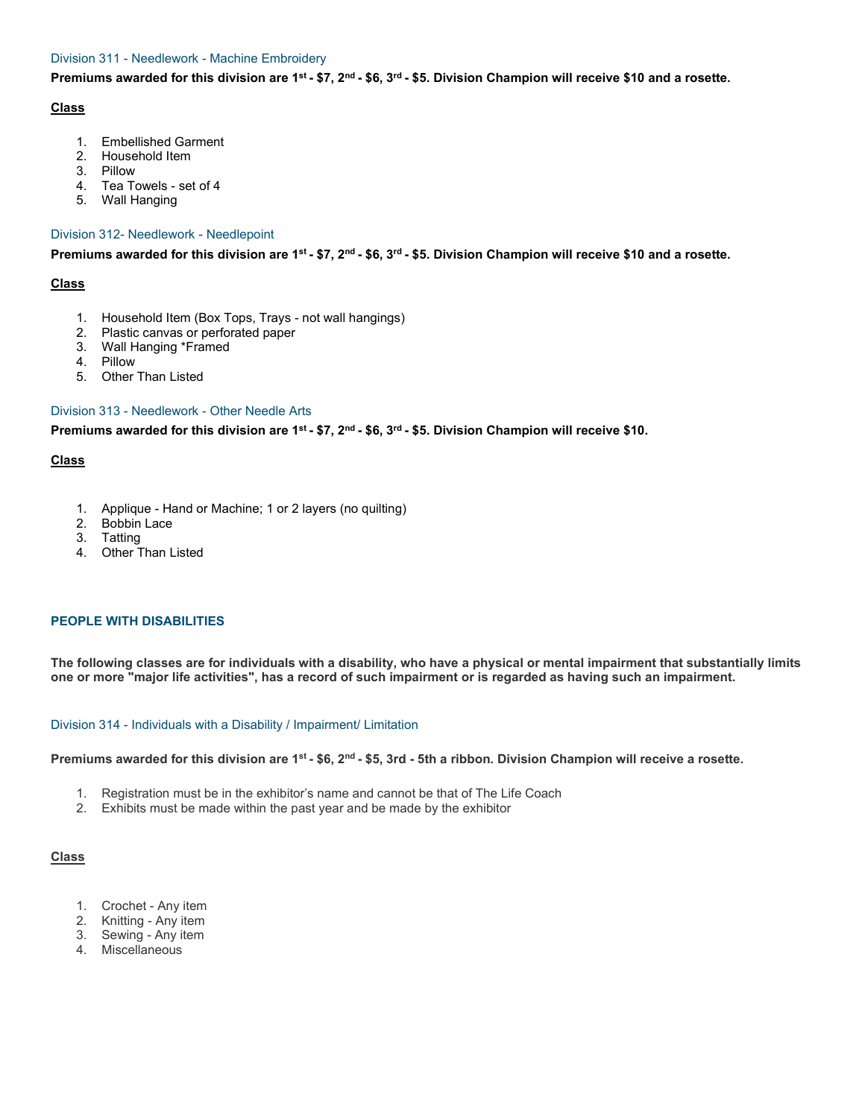# Division 311 - Needlework - Machine Embroidery

**Premiums awarded for this division are 1st - \$7, 2nd - \$6, 3rd - \$5. Division Champion will receive \$10 and a rosette.**

## **Class**

- 1. Embellished Garment
- 2. Household Item
- 3. Pillow
- 4. Tea Towels set of 4
- 5. Wall Hanging

#### Division 312- Needlework - Needlepoint

**Premiums awarded for this division are 1st - \$7, 2nd - \$6, 3rd - \$5. Division Champion will receive \$10 and a rosette.**

## **Class**

- 1. Household Item (Box Tops, Trays not wall hangings)
- 2. Plastic canvas or perforated paper
- 3. Wall Hanging \*Framed
- 4. Pillow
- 5. Other Than Listed

# Division 313 - Needlework - Other Needle Arts

**Premiums awarded for this division are 1st - \$7, 2nd - \$6, 3rd - \$5. Division Champion will receive \$10.**

## **Class**

- 1. Applique Hand or Machine; 1 or 2 layers (no quilting)
- 2. Bobbin Lace
- 3. Tatting
- 4. Other Than Listed

## **PEOPLE WITH DISABILITIES**

**The following classes are for individuals with a disability, who have a physical or mental impairment that substantially limits one or more "major life activities", has a record of such impairment or is regarded as having such an impairment.**

## Division 314 - Individuals with a Disability / Impairment/ Limitation

**Premiums awarded for this division are 1st - \$6, 2nd - \$5, 3rd - 5th a ribbon. Division Champion will receive a rosette.**

- 1. Registration must be in the exhibitor's name and cannot be that of The Life Coach
- 2. Exhibits must be made within the past year and be made by the exhibitor

- 1. Crochet Any item
- 2. Knitting Any item
- 3. Sewing Any item
- 4. Miscellaneous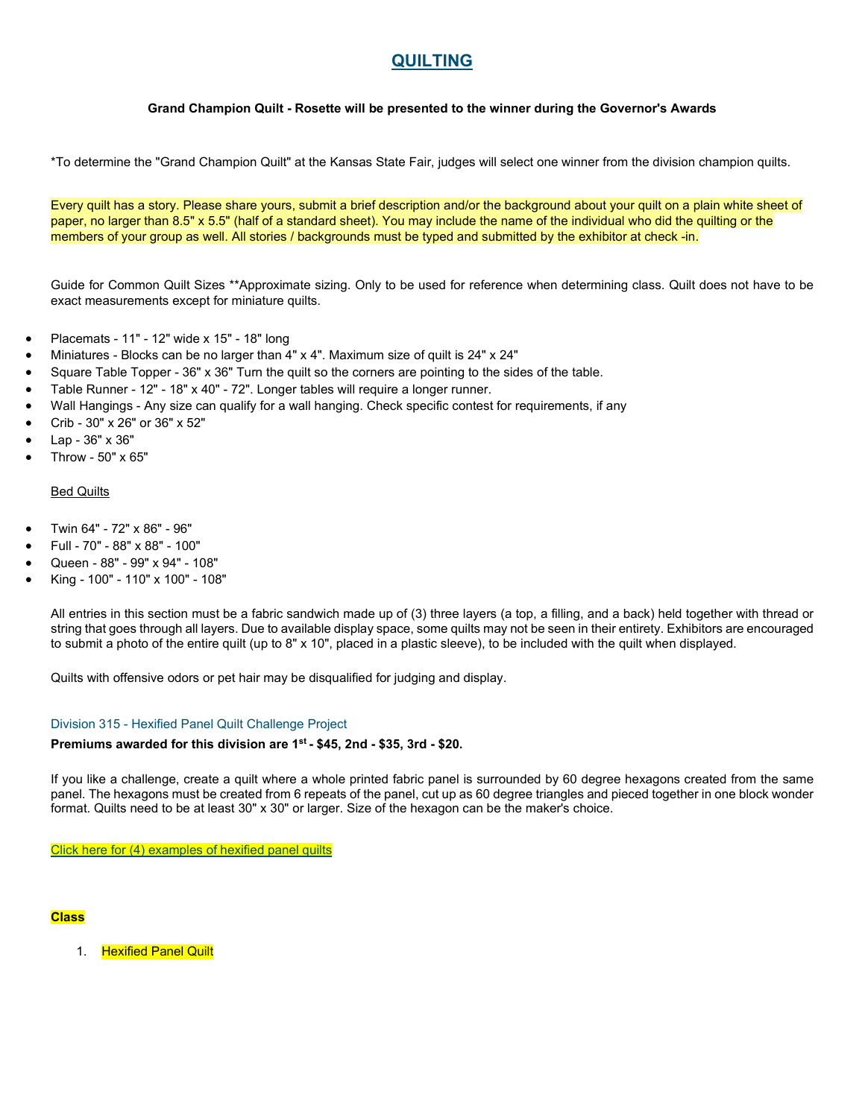# **QUILTING**

# **Grand Champion Quilt - Rosette will be presented to the winner during the Governor's Awards**

\*To determine the "Grand Champion Quilt" at the Kansas State Fair, judges will select one winner from the division champion quilts.

Every quilt has a story. Please share yours, submit a brief description and/or the background about your quilt on a plain white sheet of paper, no larger than 8.5" x 5.5" (half of a standard sheet). You may include the name of the individual who did the quilting or the members of your group as well. All stories / backgrounds must be typed and submitted by the exhibitor at check -in.

Guide for Common Quilt Sizes \*\*Approximate sizing. Only to be used for reference when determining class. Quilt does not have to be exact measurements except for miniature quilts.

- Placemats 11" 12" wide x 15" 18" long
- Miniatures Blocks can be no larger than 4" x 4". Maximum size of quilt is 24" x 24"
- Square Table Topper 36" x 36" Turn the quilt so the corners are pointing to the sides of the table.
- Table Runner 12" 18" x 40" 72". Longer tables will require a longer runner.
- Wall Hangings Any size can qualify for a wall hanging. Check specific contest for requirements, if any
- Crib 30" x 26" or 36" x 52"
- Lap 36" x 36"
- Throw 50" x 65"

#### Bed Quilts

- Twin 64" 72" x 86" 96"
- Full 70" 88" x 88" 100"
- Queen 88" 99" x 94" 108"
- King 100" 110" x 100" 108"

All entries in this section must be a fabric sandwich made up of (3) three layers (a top, a filling, and a back) held together with thread or string that goes through all layers. Due to available display space, some quilts may not be seen in their entirety. Exhibitors are encouraged to submit a photo of the entire quilt (up to 8" x 10", placed in a plastic sleeve), to be included with the quilt when displayed.

Quilts with offensive odors or pet hair may be disqualified for judging and display.

#### Division 315 - Hexified Panel Quilt Challenge Project

### **Premiums awarded for this division are 1st - \$45, 2nd - \$35, 3rd - \$20.**

If you like a challenge, create a quilt where a whole printed fabric panel is surrounded by 60 degree hexagons created from the same panel. The hexagons must be created from 6 repeats of the panel, cut up as 60 degree triangles and pieced together in one block wonder format. Quilts need to be at least 30" x 30" or larger. Size of the hexagon can be the maker's choice.

[Click here for \(4\) examples of hexified panel quilts](https://cdn.saffire.com/files.ashx?t=fg&rid=KansasStateFair&f=Hexified_Panel_Quilts.pdf)

#### **Class**

1. Hexified Panel Quilt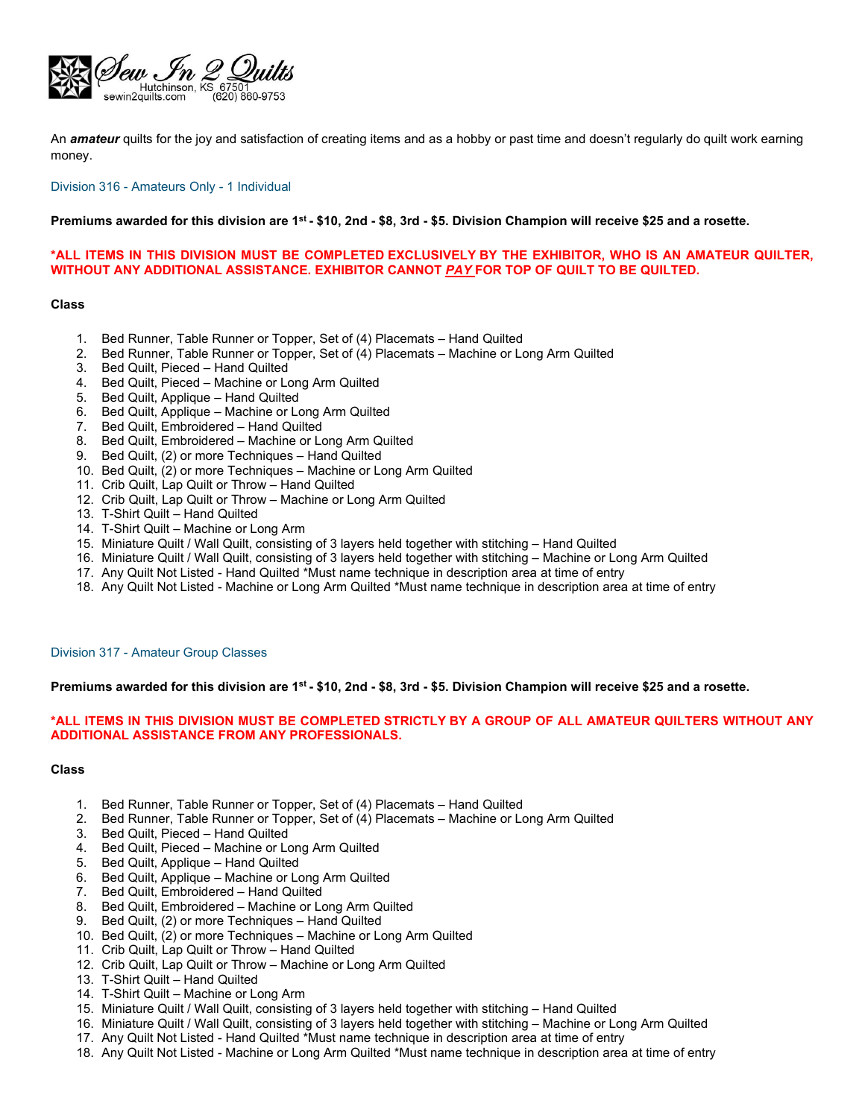

An *amateur* quilts for the joy and satisfaction of creating items and as a hobby or past time and doesn't regularly do quilt work earning money.

Division 316 - Amateurs Only - 1 Individual

#### **Premiums awarded for this division are 1st - \$10, 2nd - \$8, 3rd - \$5. Division Champion will receive \$25 and a rosette.**

## **\*ALL ITEMS IN THIS DIVISION MUST BE COMPLETED EXCLUSIVELY BY THE EXHIBITOR, WHO IS AN AMATEUR QUILTER, WITHOUT ANY ADDITIONAL ASSISTANCE. EXHIBITOR CANNOT** *PAY* **FOR TOP OF QUILT TO BE QUILTED.**

#### **Class**

- 1. Bed Runner, Table Runner or Topper, Set of (4) Placemats Hand Quilted
- 2. Bed Runner, Table Runner or Topper, Set of (4) Placemats Machine or Long Arm Quilted
- 3. Bed Quilt, Pieced Hand Quilted
- 4. Bed Quilt, Pieced Machine or Long Arm Quilted
- 5. Bed Quilt, Applique Hand Quilted
- 6. Bed Quilt, Applique Machine or Long Arm Quilted
- 7. Bed Quilt, Embroidered Hand Quilted
- 8. Bed Quilt, Embroidered Machine or Long Arm Quilted
- 9. Bed Quilt, (2) or more Techniques Hand Quilted
- 10. Bed Quilt, (2) or more Techniques Machine or Long Arm Quilted
- 11. Crib Quilt, Lap Quilt or Throw Hand Quilted
- 12. Crib Quilt, Lap Quilt or Throw Machine or Long Arm Quilted
- 13. T-Shirt Quilt Hand Quilted
- 14. T-Shirt Quilt Machine or Long Arm
- 15. Miniature Quilt / Wall Quilt, consisting of 3 layers held together with stitching Hand Quilted
- 16. Miniature Quilt / Wall Quilt, consisting of 3 layers held together with stitching Machine or Long Arm Quilted
- 17. Any Quilt Not Listed Hand Quilted \*Must name technique in description area at time of entry
- 18. Any Quilt Not Listed Machine or Long Arm Quilted \*Must name technique in description area at time of entry

### Division 317 - Amateur Group Classes

#### **Premiums awarded for this division are 1st - \$10, 2nd - \$8, 3rd - \$5. Division Champion will receive \$25 and a rosette.**

## **\*ALL ITEMS IN THIS DIVISION MUST BE COMPLETED STRICTLY BY A GROUP OF ALL AMATEUR QUILTERS WITHOUT ANY ADDITIONAL ASSISTANCE FROM ANY PROFESSIONALS.**

- 1. Bed Runner, Table Runner or Topper, Set of (4) Placemats Hand Quilted
- 2. Bed Runner, Table Runner or Topper, Set of (4) Placemats Machine or Long Arm Quilted
- 3. Bed Quilt, Pieced Hand Quilted
- 4. Bed Quilt, Pieced Machine or Long Arm Quilted
- 5. Bed Quilt, Applique Hand Quilted
- 6. Bed Quilt, Applique Machine or Long Arm Quilted
- 7. Bed Quilt, Embroidered Hand Quilted
- 8. Bed Quilt, Embroidered Machine or Long Arm Quilted
- 9. Bed Quilt, (2) or more Techniques Hand Quilted
- 10. Bed Quilt, (2) or more Techniques Machine or Long Arm Quilted
- 11. Crib Quilt, Lap Quilt or Throw Hand Quilted
- 12. Crib Quilt, Lap Quilt or Throw Machine or Long Arm Quilted
- 13. T-Shirt Quilt Hand Quilted
- 14. T-Shirt Quilt Machine or Long Arm
- 15. Miniature Quilt / Wall Quilt, consisting of 3 layers held together with stitching Hand Quilted
- 16. Miniature Quilt / Wall Quilt, consisting of 3 layers held together with stitching Machine or Long Arm Quilted
- 17. Any Quilt Not Listed Hand Quilted \*Must name technique in description area at time of entry
- 18. Any Quilt Not Listed Machine or Long Arm Quilted \*Must name technique in description area at time of entry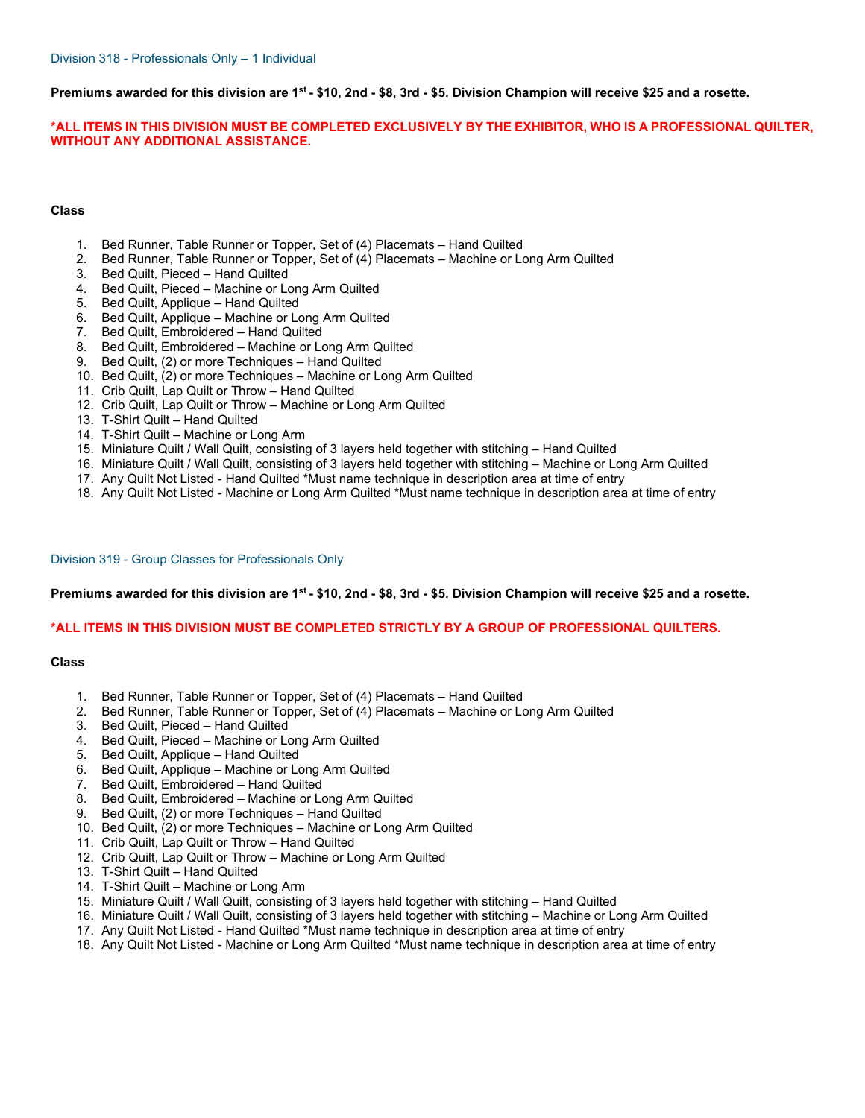**Premiums awarded for this division are 1st - \$10, 2nd - \$8, 3rd - \$5. Division Champion will receive \$25 and a rosette.**

**\*ALL ITEMS IN THIS DIVISION MUST BE COMPLETED EXCLUSIVELY BY THE EXHIBITOR, WHO IS A PROFESSIONAL QUILTER, WITHOUT ANY ADDITIONAL ASSISTANCE.**

## **Class**

- 1. Bed Runner, Table Runner or Topper, Set of (4) Placemats Hand Quilted
- 2. Bed Runner, Table Runner or Topper, Set of (4) Placemats Machine or Long Arm Quilted
- 3. Bed Quilt, Pieced Hand Quilted
- 4. Bed Quilt, Pieced Machine or Long Arm Quilted
- 5. Bed Quilt, Applique Hand Quilted
- 6. Bed Quilt, Applique Machine or Long Arm Quilted
- 7. Bed Quilt, Embroidered Hand Quilted
- 8. Bed Quilt, Embroidered Machine or Long Arm Quilted
- 9. Bed Quilt, (2) or more Techniques Hand Quilted
- 10. Bed Quilt, (2) or more Techniques Machine or Long Arm Quilted
- 11. Crib Quilt, Lap Quilt or Throw Hand Quilted
- 12. Crib Quilt, Lap Quilt or Throw Machine or Long Arm Quilted
- 13. T-Shirt Quilt Hand Quilted
- 14. T-Shirt Quilt Machine or Long Arm
- 15. Miniature Quilt / Wall Quilt, consisting of 3 layers held together with stitching Hand Quilted
- 16. Miniature Quilt / Wall Quilt, consisting of 3 layers held together with stitching Machine or Long Arm Quilted
- 17. Any Quilt Not Listed Hand Quilted \*Must name technique in description area at time of entry
- 18. Any Quilt Not Listed Machine or Long Arm Quilted \*Must name technique in description area at time of entry

#### Division 319 - Group Classes for Professionals Only

#### **Premiums awarded for this division are 1st - \$10, 2nd - \$8, 3rd - \$5. Division Champion will receive \$25 and a rosette.**

#### **\*ALL ITEMS IN THIS DIVISION MUST BE COMPLETED STRICTLY BY A GROUP OF PROFESSIONAL QUILTERS.**

- 1. Bed Runner, Table Runner or Topper, Set of (4) Placemats Hand Quilted
- 2. Bed Runner, Table Runner or Topper, Set of (4) Placemats Machine or Long Arm Quilted
- 3. Bed Quilt, Pieced Hand Quilted
- 4. Bed Quilt, Pieced Machine or Long Arm Quilted
- 5. Bed Quilt, Applique Hand Quilted
- 6. Bed Quilt, Applique Machine or Long Arm Quilted
- 7. Bed Quilt, Embroidered Hand Quilted
- 8. Bed Quilt, Embroidered Machine or Long Arm Quilted<br>9. Bed Quilt, (2) or more Techniques Hand Quilted
- 9. Bed Quilt, (2) or more Techniques Hand Quilted
- 10. Bed Quilt, (2) or more Techniques Machine or Long Arm Quilted
- 11. Crib Quilt, Lap Quilt or Throw Hand Quilted
- 12. Crib Quilt, Lap Quilt or Throw Machine or Long Arm Quilted
- 13. T-Shirt Quilt Hand Quilted
- 14. T-Shirt Quilt Machine or Long Arm
- 15. Miniature Quilt / Wall Quilt, consisting of 3 layers held together with stitching Hand Quilted
- 16. Miniature Quilt / Wall Quilt, consisting of 3 layers held together with stitching Machine or Long Arm Quilted
- 17. Any Quilt Not Listed Hand Quilted \*Must name technique in description area at time of entry
- 18. Any Quilt Not Listed Machine or Long Arm Quilted \*Must name technique in description area at time of entry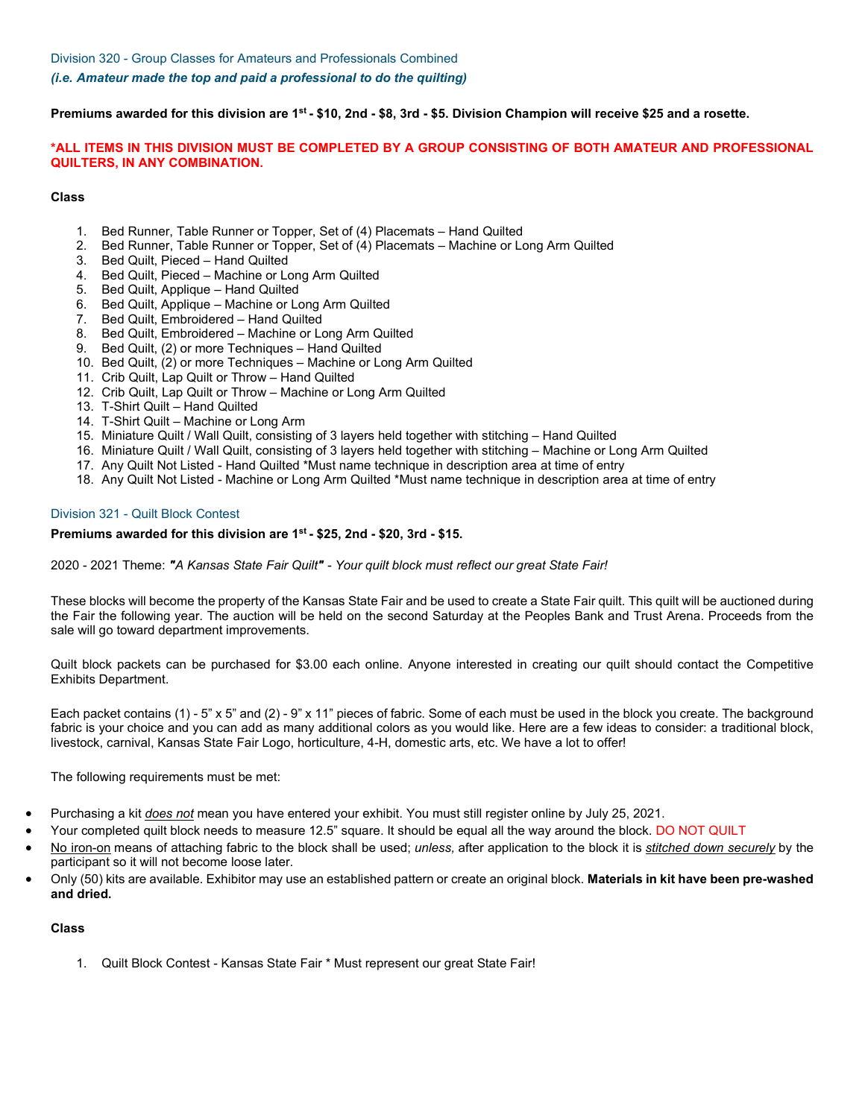**Premiums awarded for this division are 1st - \$10, 2nd - \$8, 3rd - \$5. Division Champion will receive \$25 and a rosette.**

## **\*ALL ITEMS IN THIS DIVISION MUST BE COMPLETED BY A GROUP CONSISTING OF BOTH AMATEUR AND PROFESSIONAL QUILTERS, IN ANY COMBINATION.**

## **Class**

- 1. Bed Runner, Table Runner or Topper, Set of (4) Placemats Hand Quilted
- 2. Bed Runner, Table Runner or Topper, Set of (4) Placemats Machine or Long Arm Quilted
- Bed Quilt, Pieced Hand Quilted
- 4. Bed Quilt, Pieced Machine or Long Arm Quilted
- 5. Bed Quilt, Applique Hand Quilted
- 6. Bed Quilt, Applique Machine or Long Arm Quilted
- 7. Bed Quilt, Embroidered Hand Quilted
- 8. Bed Quilt, Embroidered Machine or Long Arm Quilted
- 9. Bed Quilt, (2) or more Techniques Hand Quilted
- 10. Bed Quilt, (2) or more Techniques Machine or Long Arm Quilted
- 11. Crib Quilt, Lap Quilt or Throw Hand Quilted
- 12. Crib Quilt, Lap Quilt or Throw Machine or Long Arm Quilted
- 13. T-Shirt Quilt Hand Quilted
- 14. T-Shirt Quilt Machine or Long Arm
- 15. Miniature Quilt / Wall Quilt, consisting of 3 layers held together with stitching Hand Quilted
- 16. Miniature Quilt / Wall Quilt, consisting of 3 layers held together with stitching Machine or Long Arm Quilted
- 17. Any Quilt Not Listed Hand Quilted \*Must name technique in description area at time of entry
- 18. Any Quilt Not Listed Machine or Long Arm Quilted \*Must name technique in description area at time of entry

### Division 321 - Quilt Block Contest

### **Premiums awarded for this division are 1st - \$25, 2nd - \$20, 3rd - \$15.**

2020 - 2021 Theme: *"A Kansas State Fair Quilt" - Your quilt block must reflect our great State Fair!*

These blocks will become the property of the Kansas State Fair and be used to create a State Fair quilt. This quilt will be auctioned during the Fair the following year. The auction will be held on the second Saturday at the Peoples Bank and Trust Arena. Proceeds from the sale will go toward department improvements.

Quilt block packets can be purchased for \$3.00 each online. Anyone interested in creating our quilt should contact the Competitive Exhibits Department.

Each packet contains (1) - 5" x 5" and (2) - 9" x 11" pieces of fabric. Some of each must be used in the block you create. The background fabric is your choice and you can add as many additional colors as you would like. Here are a few ideas to consider: a traditional block, livestock, carnival, Kansas State Fair Logo, horticulture, 4-H, domestic arts, etc. We have a lot to offer!

The following requirements must be met:

- Purchasing a kit *does not* mean you have entered your exhibit. You must still register online by July 25, 2021.
	- Your completed quilt block needs to measure 12.5" square. It should be equal all the way around the block. DO NOT QUILT
- No iron-on means of attaching fabric to the block shall be used; *unless,* after application to the block it is *stitched down securely* by the participant so it will not become loose later.
- Only (50) kits are available. Exhibitor may use an established pattern or create an original block. **Materials in kit have been pre-washed and dried.**

#### **Class**

1. Quilt Block Contest - Kansas State Fair \* Must represent our great State Fair!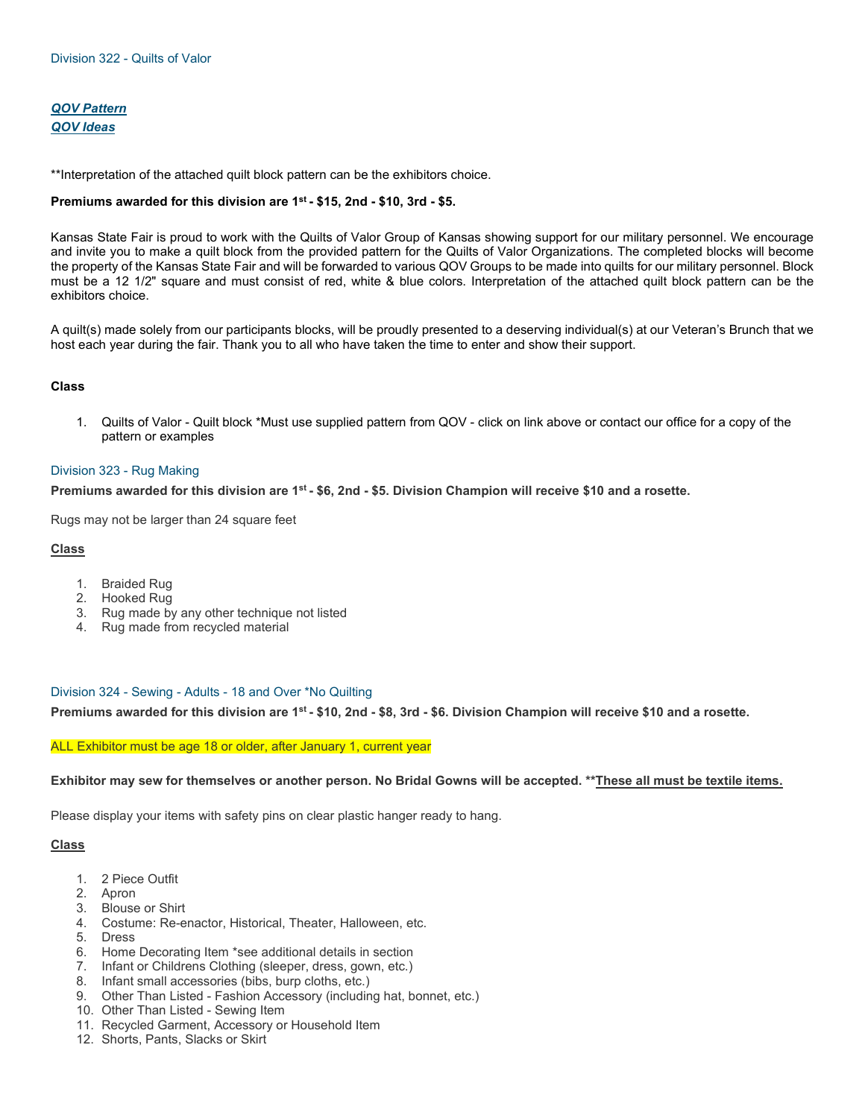# *[QOV Pattern](https://cdn.saffire.com/files.ashx?t=fg&rid=KansasStateFair&f=QOV_Pattern_-_2020.pdf) [QOV Ideas](https://cdn.saffire.com/files.ashx?t=fg&rid=KansasStateFair&f=QOV_Ideas.pdf)*

\*\*Interpretation of the attached quilt block pattern can be the exhibitors choice.

## **Premiums awarded for this division are 1st - \$15, 2nd - \$10, 3rd - \$5.**

Kansas State Fair is proud to work with the Quilts of Valor Group of Kansas showing support for our military personnel. We encourage and invite you to make a quilt block from the provided pattern for the Quilts of Valor Organizations. The completed blocks will become the property of the Kansas State Fair and will be forwarded to various QOV Groups to be made into quilts for our military personnel. Block must be a 12 1/2" square and must consist of red, white & blue colors. Interpretation of the attached quilt block pattern can be the exhibitors choice.

A quilt(s) made solely from our participants blocks, will be proudly presented to a deserving individual(s) at our Veteran's Brunch that we host each year during the fair. Thank you to all who have taken the time to enter and show their support.

#### **Class**

1. Quilts of Valor - Quilt block \*Must use supplied pattern from QOV - click on link above or contact our office for a copy of the pattern or examples

#### Division 323 - Rug Making

**Premiums awarded for this division are 1st - \$6, 2nd - \$5. Division Champion will receive \$10 and a rosette.**

Rugs may not be larger than 24 square feet

## **Class**

- 1. Braided Rug
- 2. Hooked Rug
- 3. Rug made by any other technique not listed
- 4. Rug made from recycled material

#### Division 324 - Sewing - Adults - 18 and Over \*No Quilting

**Premiums awarded for this division are 1st - \$10, 2nd - \$8, 3rd - \$6. Division Champion will receive \$10 and a rosette.**

#### ALL Exhibitor must be age 18 or older, after January 1, current year

#### **Exhibitor may sew for themselves or another person. No Bridal Gowns will be accepted. \*\*These all must be textile items.**

Please display your items with safety pins on clear plastic hanger ready to hang.

- 1. 2 Piece Outfit
- 2. Apron
- 3. Blouse or Shirt
- 4. Costume: Re-enactor, Historical, Theater, Halloween, etc.
- 5. Dress
- 6. Home Decorating Item \*see additional details in section
- 7. Infant or Childrens Clothing (sleeper, dress, gown, etc.)
- 8. Infant small accessories (bibs, burp cloths, etc.)
- 9. Other Than Listed Fashion Accessory (including hat, bonnet, etc.)
- 10. Other Than Listed Sewing Item
- 11. Recycled Garment, Accessory or Household Item
- 12. Shorts, Pants, Slacks or Skirt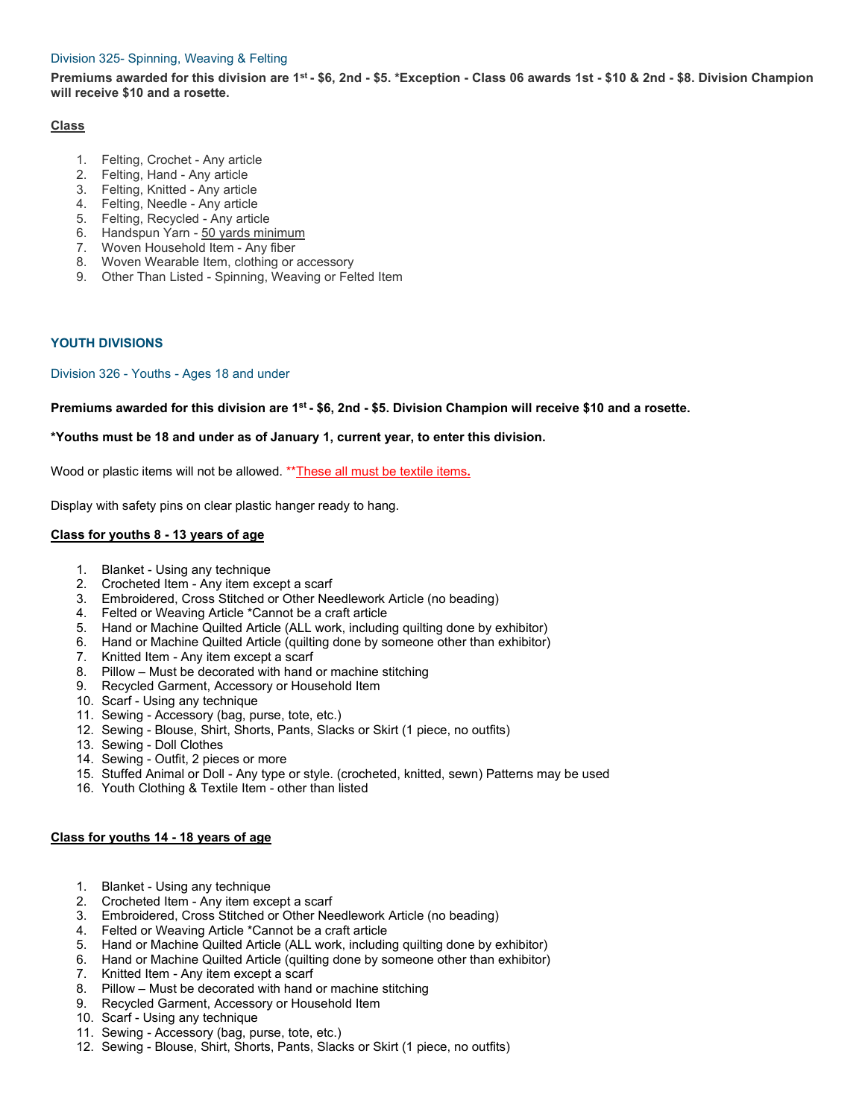## Division 325- Spinning, Weaving & Felting

**Premiums awarded for this division are 1st - \$6, 2nd - \$5. \*Exception - Class 06 awards 1st - \$10 & 2nd - \$8. Division Champion will receive \$10 and a rosette.**

## **Class**

- 1. Felting, Crochet Any article
- 2. Felting, Hand Any article
- 3. Felting, Knitted Any article
- 4. Felting, Needle Any article
- 5. Felting, Recycled Any article
- 6. Handspun Yarn 50 yards minimum
- 7. Woven Household Item Any fiber
- 8. Woven Wearable Item, clothing or accessory
- 9. Other Than Listed Spinning, Weaving or Felted Item

# **YOUTH DIVISIONS**

Division 326 - Youths - Ages 18 and under

**Premiums awarded for this division are 1st - \$6, 2nd - \$5. Division Champion will receive \$10 and a rosette.**

# **\*Youths must be 18 and under as of January 1, current year, to enter this division.**

Wood or plastic items will not be allowed. \*\*These all must be textile items**.**

Display with safety pins on clear plastic hanger ready to hang.

# **Class for youths 8 - 13 years of age**

- 1. Blanket Using any technique
- 2. Crocheted Item Any item except a scarf
- 3. Embroidered, Cross Stitched or Other Needlework Article (no beading)
- 4. Felted or Weaving Article \*Cannot be a craft article
- 5. Hand or Machine Quilted Article (ALL work, including quilting done by exhibitor)
- 6. Hand or Machine Quilted Article (quilting done by someone other than exhibitor)
- 7. Knitted Item Any item except a scarf
- 8. Pillow Must be decorated with hand or machine stitching
- 9. Recycled Garment, Accessory or Household Item
- 10. Scarf Using any technique
- 11. Sewing Accessory (bag, purse, tote, etc.)
- 12. Sewing Blouse, Shirt, Shorts, Pants, Slacks or Skirt (1 piece, no outfits)
- 13. Sewing Doll Clothes
- 14. Sewing Outfit, 2 pieces or more
- 15. Stuffed Animal or Doll Any type or style. (crocheted, knitted, sewn) Patterns may be used
- 16. Youth Clothing & Textile Item other than listed

## **Class for youths 14 - 18 years of age**

- 1. Blanket Using any technique
- 2. Crocheted Item Any item except a scarf
- 3. Embroidered, Cross Stitched or Other Needlework Article (no beading)
- 4. Felted or Weaving Article \*Cannot be a craft article
- 5. Hand or Machine Quilted Article (ALL work, including quilting done by exhibitor)
- 6. Hand or Machine Quilted Article (quilting done by someone other than exhibitor)
- 7. Knitted Item Any item except a scarf
- 8. Pillow Must be decorated with hand or machine stitching
- 9. Recycled Garment, Accessory or Household Item
- 10. Scarf Using any technique
- 11. Sewing Accessory (bag, purse, tote, etc.)
- 12. Sewing Blouse, Shirt, Shorts, Pants, Slacks or Skirt (1 piece, no outfits)